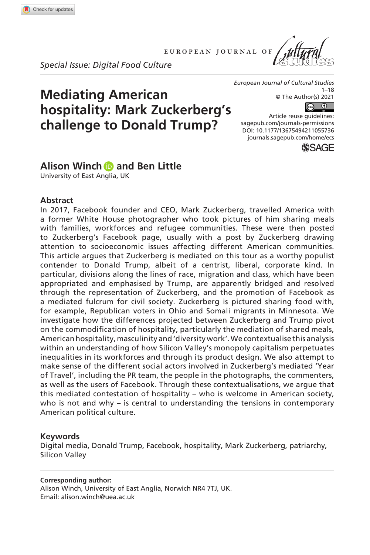**1055[736](http://crossmark.crossref.org/dialog/?doi=10.1177%2F13675494211055736&domain=pdf&date_stamp=2021-11-21)** ECS0010.1177/13675494211055736European Journal of Cultural Studies**Winch and Little**

european journal of



**Mediating American** 

**hospitality: Mark Zuckerberg's challenge to Donald Trump?**



*European Journal of Cultural Studies* 1–18 © The Author(s) 2021

 $\sqrt{c}$ 

https://doi.org/10.1177/13675494211055736 DOI: 10.1177/13675494211055736 Article reuse guidelines: [sagepub.com/journals-permissions](https://uk.sagepub.com/en-gb/journals-permissions) [journals.sagepub.com/home/ecs](https://journals.sagepub.com/home/ecs)



# **Alison Winch and Ben Little**

University of East Anglia, UK

### **Abstract**

In 2017, Facebook founder and CEO, Mark Zuckerberg, travelled America with a former White House photographer who took pictures of him sharing meals with families, workforces and refugee communities. These were then posted to Zuckerberg's Facebook page, usually with a post by Zuckerberg drawing attention to socioeconomic issues affecting different American communities. This article argues that Zuckerberg is mediated on this tour as a worthy populist contender to Donald Trump, albeit of a centrist, liberal, corporate kind. In particular, divisions along the lines of race, migration and class, which have been appropriated and emphasised by Trump, are apparently bridged and resolved through the representation of Zuckerberg, and the promotion of Facebook as a mediated fulcrum for civil society. Zuckerberg is pictured sharing food with, for example, Republican voters in Ohio and Somali migrants in Minnesota. We investigate how the differences projected between Zuckerberg and Trump pivot on the commodification of hospitality, particularly the mediation of shared meals, American hospitality, masculinity and 'diversity work'. We contextualise this analysis within an understanding of how Silicon Valley's monopoly capitalism perpetuates inequalities in its workforces and through its product design. We also attempt to make sense of the different social actors involved in Zuckerberg's mediated 'Year of Travel', including the PR team, the people in the photographs, the commenters, as well as the users of Facebook. Through these contextualisations, we argue that this mediated contestation of hospitality – who is welcome in American society, who is not and why – is central to understanding the tensions in contemporary American political culture.

### **Keywords**

Digital media, Donald Trump, Facebook, hospitality, Mark Zuckerberg, patriarchy, Silicon Valley

#### **Corresponding author:**

Alison Winch, University of East Anglia, Norwich NR4 7TJ, UK. Email: [alison.winch@uea.ac.uk](mailto:alison.winch@uea.ac.uk)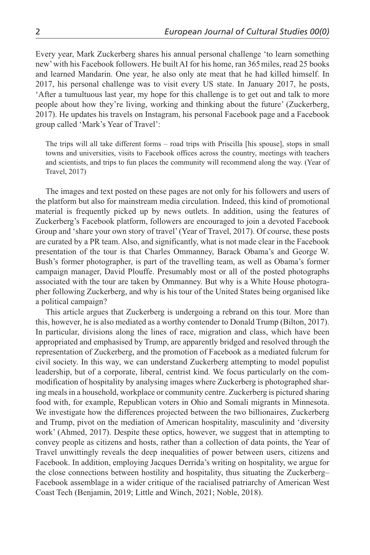Every year, Mark Zuckerberg shares his annual personal challenge 'to learn something new' with his Facebook followers. He built AI for his home, ran 365miles, read 25 books and learned Mandarin. One year, he also only ate meat that he had killed himself. In 2017, his personal challenge was to visit every US state. In January 2017, he posts, 'After a tumultuous last year, my hope for this challenge is to get out and talk to more people about how they're living, working and thinking about the future' (Zuckerberg, 2017). He updates his travels on Instagram, his personal Facebook page and a Facebook group called 'Mark's Year of Travel':

The trips will all take different forms – road trips with Priscilla [his spouse], stops in small towns and universities, visits to Facebook offices across the country, meetings with teachers and scientists, and trips to fun places the community will recommend along the way. (Year of Travel, 2017)

The images and text posted on these pages are not only for his followers and users of the platform but also for mainstream media circulation. Indeed, this kind of promotional material is frequently picked up by news outlets. In addition, using the features of Zuckerberg's Facebook platform, followers are encouraged to join a devoted Facebook Group and 'share your own story of travel' (Year of Travel, 2017). Of course, these posts are curated by a PR team. Also, and significantly, what is not made clear in the Facebook presentation of the tour is that Charles Ommanney, Barack Obama's and George W. Bush's former photographer, is part of the travelling team, as well as Obama's former campaign manager, David Plouffe. Presumably most or all of the posted photographs associated with the tour are taken by Ommanney. But why is a White House photographer following Zuckerberg, and why is his tour of the United States being organised like a political campaign?

This article argues that Zuckerberg is undergoing a rebrand on this tour. More than this, however, he is also mediated as a worthy contender to Donald Trump (Bilton, 2017). In particular, divisions along the lines of race, migration and class, which have been appropriated and emphasised by Trump, are apparently bridged and resolved through the representation of Zuckerberg, and the promotion of Facebook as a mediated fulcrum for civil society. In this way, we can understand Zuckerberg attempting to model populist leadership, but of a corporate, liberal, centrist kind. We focus particularly on the commodification of hospitality by analysing images where Zuckerberg is photographed sharing meals in a household, workplace or community centre. Zuckerberg is pictured sharing food with, for example, Republican voters in Ohio and Somali migrants in Minnesota. We investigate how the differences projected between the two billionaires, Zuckerberg and Trump, pivot on the mediation of American hospitality, masculinity and 'diversity work' (Ahmed, 2017). Despite these optics, however, we suggest that in attempting to convey people as citizens and hosts, rather than a collection of data points, the Year of Travel unwittingly reveals the deep inequalities of power between users, citizens and Facebook. In addition, employing Jacques Derrida's writing on hospitality, we argue for the close connections between hostility and hospitality, thus situating the Zuckerberg– Facebook assemblage in a wider critique of the racialised patriarchy of American West Coast Tech (Benjamin, 2019; Little and Winch, 2021; Noble, 2018).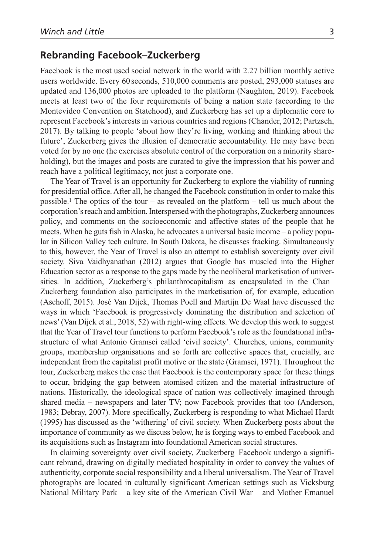# **Rebranding Facebook–Zuckerberg**

Facebook is the most used social network in the world with 2.27 billion monthly active users worldwide. Every 60 seconds, 510,000 comments are posted, 293,000 statuses are updated and 136,000 photos are uploaded to the platform (Naughton, 2019). Facebook meets at least two of the four requirements of being a nation state (according to the Montevideo Convention on Statehood), and Zuckerberg has set up a diplomatic core to represent Facebook's interests in various countries and regions (Chander, 2012; Partzsch, 2017). By talking to people 'about how they're living, working and thinking about the future', Zuckerberg gives the illusion of democratic accountability. He may have been voted for by no one (he exercises absolute control of the corporation on a minority shareholding), but the images and posts are curated to give the impression that his power and reach have a political legitimacy, not just a corporate one.

The Year of Travel is an opportunity for Zuckerberg to explore the viability of running for presidential office. After all, he changed the Facebook constitution in order to make this possible.<sup>1</sup> The optics of the tour – as revealed on the platform – tell us much about the corporation's reach and ambition. Interspersed with the photographs, Zuckerberg announces policy, and comments on the socioeconomic and affective states of the people that he meets. When he guts fish in Alaska, he advocates a universal basic income – a policy popular in Silicon Valley tech culture. In South Dakota, he discusses fracking. Simultaneously to this, however, the Year of Travel is also an attempt to establish sovereignty over civil society. Siva Vaidhyanathan (2012) argues that Google has muscled into the Higher Education sector as a response to the gaps made by the neoliberal marketisation of universities. In addition, Zuckerberg's philanthrocapitalism as encapsulated in the Chan– Zuckerberg foundation also participates in the marketisation of, for example, education (Aschoff, 2015). José Van Dijck, Thomas Poell and Martijn De Waal have discussed the ways in which 'Facebook is progressively dominating the distribution and selection of news' (Van Dijck et al., 2018, 52) with right-wing effects. We develop this work to suggest that the Year of Travel tour functions to perform Facebook's role as the foundational infrastructure of what Antonio Gramsci called 'civil society'. Churches, unions, community groups, membership organisations and so forth are collective spaces that, crucially, are independent from the capitalist profit motive or the state (Gramsci, 1971). Throughout the tour, Zuckerberg makes the case that Facebook is the contemporary space for these things to occur, bridging the gap between atomised citizen and the material infrastructure of nations. Historically, the ideological space of nation was collectively imagined through shared media – newspapers and later TV; now Facebook provides that too (Anderson, 1983; Debray, 2007). More specifically, Zuckerberg is responding to what Michael Hardt (1995) has discussed as the 'withering' of civil society. When Zuckerberg posts about the importance of community as we discuss below, he is forging ways to embed Facebook and its acquisitions such as Instagram into foundational American social structures.

In claiming sovereignty over civil society, Zuckerberg–Facebook undergo a significant rebrand, drawing on digitally mediated hospitality in order to convey the values of authenticity, corporate social responsibility and a liberal universalism. The Year of Travel photographs are located in culturally significant American settings such as Vicksburg National Military Park – a key site of the American Civil War – and Mother Emanuel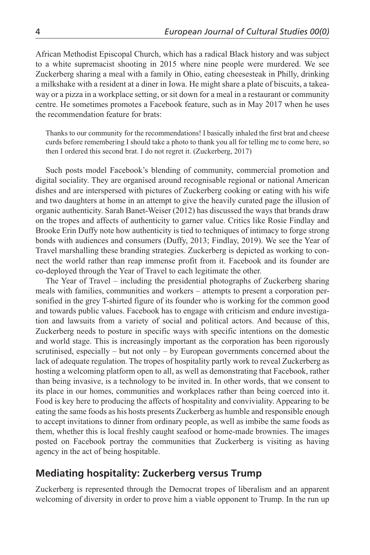African Methodist Episcopal Church, which has a radical Black history and was subject to a white supremacist shooting in 2015 where nine people were murdered. We see Zuckerberg sharing a meal with a family in Ohio, eating cheesesteak in Philly, drinking a milkshake with a resident at a diner in Iowa. He might share a plate of biscuits, a takeaway or a pizza in a workplace setting, or sit down for a meal in a restaurant or community centre. He sometimes promotes a Facebook feature, such as in May 2017 when he uses the recommendation feature for brats:

Thanks to our community for the recommendations! I basically inhaled the first brat and cheese curds before remembering I should take a photo to thank you all for telling me to come here, so then I ordered this second brat. I do not regret it. (Zuckerberg, 2017)

Such posts model Facebook's blending of community, commercial promotion and digital sociality. They are organised around recognisable regional or national American dishes and are interspersed with pictures of Zuckerberg cooking or eating with his wife and two daughters at home in an attempt to give the heavily curated page the illusion of organic authenticity. Sarah Banet-Weiser (2012) has discussed the ways that brands draw on the tropes and affects of authenticity to garner value. Critics like Rosie Findlay and Brooke Erin Duffy note how authenticity is tied to techniques of intimacy to forge strong bonds with audiences and consumers (Duffy, 2013; Findlay, 2019). We see the Year of Travel marshalling these branding strategies. Zuckerberg is depicted as working to connect the world rather than reap immense profit from it. Facebook and its founder are co-deployed through the Year of Travel to each legitimate the other.

The Year of Travel – including the presidential photographs of Zuckerberg sharing meals with families, communities and workers – attempts to present a corporation personified in the grey T-shirted figure of its founder who is working for the common good and towards public values. Facebook has to engage with criticism and endure investigation and lawsuits from a variety of social and political actors. And because of this, Zuckerberg needs to posture in specific ways with specific intentions on the domestic and world stage. This is increasingly important as the corporation has been rigorously scrutinised, especially – but not only – by European governments concerned about the lack of adequate regulation. The tropes of hospitality partly work to reveal Zuckerberg as hosting a welcoming platform open to all, as well as demonstrating that Facebook, rather than being invasive, is a technology to be invited in. In other words, that we consent to its place in our homes, communities and workplaces rather than being coerced into it. Food is key here to producing the affects of hospitality and conviviality. Appearing to be eating the same foods as his hosts presents Zuckerberg as humble and responsible enough to accept invitations to dinner from ordinary people, as well as imbibe the same foods as them, whether this is local freshly caught seafood or home-made brownies. The images posted on Facebook portray the communities that Zuckerberg is visiting as having agency in the act of being hospitable.

# **Mediating hospitality: Zuckerberg versus Trump**

Zuckerberg is represented through the Democrat tropes of liberalism and an apparent welcoming of diversity in order to prove him a viable opponent to Trump. In the run up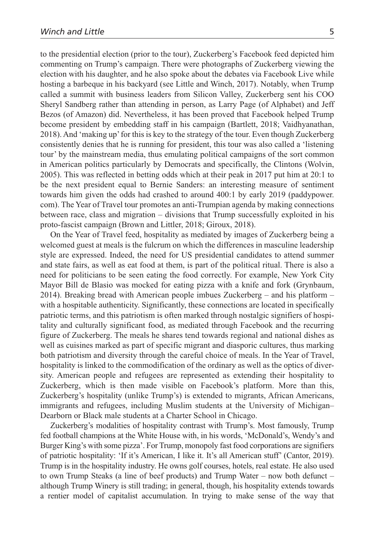to the presidential election (prior to the tour), Zuckerberg's Facebook feed depicted him commenting on Trump's campaign. There were photographs of Zuckerberg viewing the election with his daughter, and he also spoke about the debates via Facebook Live while hosting a barbeque in his backyard (see Little and Winch, 2017). Notably, when Trump called a summit with business leaders from Silicon Valley, Zuckerberg sent his COO Sheryl Sandberg rather than attending in person, as Larry Page (of Alphabet) and Jeff Bezos (of Amazon) did. Nevertheless, it has been proved that Facebook helped Trump become president by embedding staff in his campaign (Bartlett, 2018; Vaidhyanathan, 2018). And 'making up' for this is key to the strategy of the tour. Even though Zuckerberg consistently denies that he is running for president, this tour was also called a 'listening tour' by the mainstream media, thus emulating political campaigns of the sort common in American politics particularly by Democrats and specifically, the Clintons (Wolvin, 2005). This was reflected in betting odds which at their peak in 2017 put him at 20:1 to be the next president equal to Bernie Sanders: an interesting measure of sentiment towards him given the odds had crashed to around 400:1 by early 2019 (paddypower. com). The Year of Travel tour promotes an anti-Trumpian agenda by making connections between race, class and migration – divisions that Trump successfully exploited in his proto-fascist campaign (Brown and Littler, 2018; Giroux, 2018).

On the Year of Travel feed, hospitality as mediated by images of Zuckerberg being a welcomed guest at meals is the fulcrum on which the differences in masculine leadership style are expressed. Indeed, the need for US presidential candidates to attend summer and state fairs, as well as eat food at them, is part of the political ritual. There is also a need for politicians to be seen eating the food correctly. For example, New York City Mayor Bill de Blasio was mocked for eating pizza with a knife and fork (Grynbaum, 2014). Breaking bread with American people imbues Zuckerberg – and his platform – with a hospitable authenticity. Significantly, these connections are located in specifically patriotic terms, and this patriotism is often marked through nostalgic signifiers of hospitality and culturally significant food, as mediated through Facebook and the recurring figure of Zuckerberg. The meals he shares tend towards regional and national dishes as well as cuisines marked as part of specific migrant and diasporic cultures, thus marking both patriotism and diversity through the careful choice of meals. In the Year of Travel, hospitality is linked to the commodification of the ordinary as well as the optics of diversity. American people and refugees are represented as extending their hospitality to Zuckerberg, which is then made visible on Facebook's platform. More than this, Zuckerberg's hospitality (unlike Trump's) is extended to migrants, African Americans, immigrants and refugees, including Muslim students at the University of Michigan– Dearborn or Black male students at a Charter School in Chicago.

Zuckerberg's modalities of hospitality contrast with Trump's. Most famously, Trump fed football champions at the White House with, in his words, 'McDonald's, Wendy's and Burger King's with some pizza'. For Trump, monopoly fast food corporations are signifiers of patriotic hospitality: 'If it's American, I like it. It's all American stuff' (Cantor, 2019). Trump is in the hospitality industry. He owns golf courses, hotels, real estate. He also used to own Trump Steaks (a line of beef products) and Trump Water – now both defunct – although Trump Winery is still trading; in general, though, his hospitality extends towards a rentier model of capitalist accumulation. In trying to make sense of the way that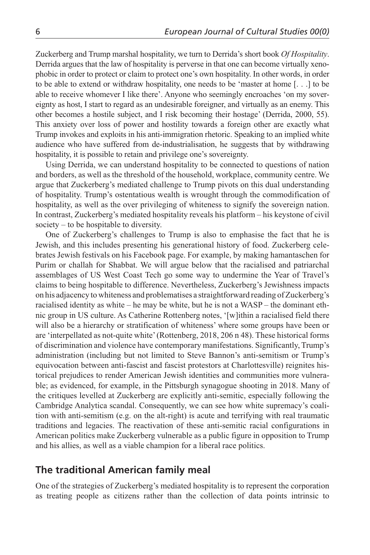Zuckerberg and Trump marshal hospitality, we turn to Derrida's short book *Of Hospitality*. Derrida argues that the law of hospitality is perverse in that one can become virtually xenophobic in order to protect or claim to protect one's own hospitality. In other words, in order to be able to extend or withdraw hospitality, one needs to be 'master at home [. . .] to be able to receive whomever I like there'. Anyone who seemingly encroaches 'on my sovereignty as host, I start to regard as an undesirable foreigner, and virtually as an enemy. This other becomes a hostile subject, and I risk becoming their hostage' (Derrida, 2000, 55). This anxiety over loss of power and hostility towards a foreign other are exactly what Trump invokes and exploits in his anti-immigration rhetoric. Speaking to an implied white audience who have suffered from de-industrialisation, he suggests that by withdrawing hospitality, it is possible to retain and privilege one's sovereignty.

Using Derrida, we can understand hospitality to be connected to questions of nation and borders, as well as the threshold of the household, workplace, community centre. We argue that Zuckerberg's mediated challenge to Trump pivots on this dual understanding of hospitality. Trump's ostentatious wealth is wrought through the commodification of hospitality, as well as the over privileging of whiteness to signify the sovereign nation. In contrast, Zuckerberg's mediated hospitality reveals his platform – his keystone of civil society – to be hospitable to diversity.

One of Zuckerberg's challenges to Trump is also to emphasise the fact that he is Jewish, and this includes presenting his generational history of food. Zuckerberg celebrates Jewish festivals on his Facebook page. For example, by making hamantaschen for Purim or challah for Shabbat. We will argue below that the racialised and patriarchal assemblages of US West Coast Tech go some way to undermine the Year of Travel's claims to being hospitable to difference. Nevertheless, Zuckerberg's Jewishness impacts on his adjacency to whiteness and problematises a straightforward reading of Zuckerberg's racialised identity as white – he may be white, but he is not a WASP – the dominant ethnic group in US culture. As Catherine Rottenberg notes, '[w]ithin a racialised field there will also be a hierarchy or stratification of whiteness' where some groups have been or are 'interpellated as not-quite white' (Rottenberg, 2018, 206 n 48). These historical forms of discrimination and violence have contemporary manifestations. Significantly, Trump's administration (including but not limited to Steve Bannon's anti-semitism or Trump's equivocation between anti-fascist and fascist protestors at Charlottesville) reignites historical prejudices to render American Jewish identities and communities more vulnerable; as evidenced, for example, in the Pittsburgh synagogue shooting in 2018. Many of the critiques levelled at Zuckerberg are explicitly anti-semitic, especially following the Cambridge Analytica scandal. Consequently, we can see how white supremacy's coalition with anti-semitism (e.g. on the alt-right) is acute and terrifying with real traumatic traditions and legacies. The reactivation of these anti-semitic racial configurations in American politics make Zuckerberg vulnerable as a public figure in opposition to Trump and his allies, as well as a viable champion for a liberal race politics.

# **The traditional American family meal**

One of the strategies of Zuckerberg's mediated hospitality is to represent the corporation as treating people as citizens rather than the collection of data points intrinsic to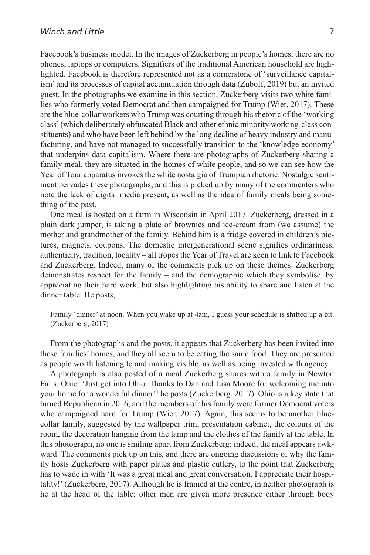Facebook's business model. In the images of Zuckerberg in people's homes, there are no phones, laptops or computers. Signifiers of the traditional American household are highlighted. Facebook is therefore represented not as a cornerstone of 'surveillance capitalism' and its processes of capital accumulation through data (Zuboff, 2019) but an invited guest. In the photographs we examine in this section, Zuckerberg visits two white families who formerly voted Democrat and then campaigned for Trump (Wier, 2017). These are the blue-collar workers who Trump was courting through his rhetoric of the 'working class' (which deliberately obfuscated Black and other ethnic minority working-class constituents) and who have been left behind by the long decline of heavy industry and manufacturing, and have not managed to successfully transition to the 'knowledge economy' that underpins data capitalism. Where there are photographs of Zuckerberg sharing a family meal, they are situated in the homes of white people, and so we can see how the Year of Tour apparatus invokes the white nostalgia of Trumpian rhetoric. Nostalgic sentiment pervades these photographs, and this is picked up by many of the commenters who note the lack of digital media present, as well as the idea of family meals being something of the past.

One meal is hosted on a farm in Wisconsin in April 2017. Zuckerberg, dressed in a plain dark jumper, is taking a plate of brownies and ice-cream from (we assume) the mother and grandmother of the family. Behind him is a fridge covered in children's pictures, magnets, coupons. The domestic intergenerational scene signifies ordinariness, authenticity, tradition, locality – all tropes the Year of Travel are keen to link to Facebook and Zuckerberg. Indeed, many of the comments pick up on these themes. Zuckerberg demonstrates respect for the family – and the demographic which they symbolise, by appreciating their hard work, but also highlighting his ability to share and listen at the dinner table. He posts,

Family 'dinner' at noon. When you wake up at 4am, I guess your schedule is shifted up a bit. (Zuckerberg, 2017)

From the photographs and the posts, it appears that Zuckerberg has been invited into these families' homes, and they all seem to be eating the same food. They are presented as people worth listening to and making visible, as well as being invested with agency.

A photograph is also posted of a meal Zuckerberg shares with a family in Newton Falls, Ohio: 'Just got into Ohio. Thanks to Dan and Lisa Moore for welcoming me into your home for a wonderful dinner!' he posts (Zuckerberg, 2017). Ohio is a key state that turned Republican in 2016, and the members of this family were former Democrat voters who campaigned hard for Trump (Wier, 2017). Again, this seems to be another bluecollar family, suggested by the wallpaper trim, presentation cabinet, the colours of the room, the decoration hanging from the lamp and the clothes of the family at the table. In this photograph, no one is smiling apart from Zuckerberg; indeed, the meal appears awkward. The comments pick up on this, and there are ongoing discussions of why the family hosts Zuckerberg with paper plates and plastic cutlery, to the point that Zuckerberg has to wade in with 'It was a great meal and great conversation. I appreciate their hospitality!' (Zuckerberg, 2017). Although he is framed at the centre, in neither photograph is he at the head of the table; other men are given more presence either through body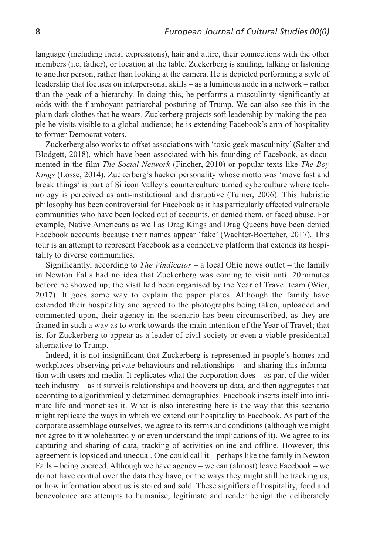language (including facial expressions), hair and attire, their connections with the other members (i.e. father), or location at the table. Zuckerberg is smiling, talking or listening to another person, rather than looking at the camera. He is depicted performing a style of leadership that focuses on interpersonal skills – as a luminous node in a network – rather than the peak of a hierarchy. In doing this, he performs a masculinity significantly at odds with the flamboyant patriarchal posturing of Trump. We can also see this in the plain dark clothes that he wears. Zuckerberg projects soft leadership by making the people he visits visible to a global audience; he is extending Facebook's arm of hospitality to former Democrat voters.

Zuckerberg also works to offset associations with 'toxic geek masculinity' (Salter and Blodgett, 2018), which have been associated with his founding of Facebook, as documented in the film *The Social Network* (Fincher, 2010) or popular texts like *The Boy Kings* (Losse, 2014). Zuckerberg's hacker personality whose motto was 'move fast and break things' is part of Silicon Valley's counterculture turned cyberculture where technology is perceived as anti-institutional and disruptive (Turner, 2006). This hubristic philosophy has been controversial for Facebook as it has particularly affected vulnerable communities who have been locked out of accounts, or denied them, or faced abuse. For example, Native Americans as well as Drag Kings and Drag Queens have been denied Facebook accounts because their names appear 'fake' (Wachter-Boettcher, 2017). This tour is an attempt to represent Facebook as a connective platform that extends its hospitality to diverse communities.

Significantly, according to *The Vindicator* – a local Ohio news outlet – the family in Newton Falls had no idea that Zuckerberg was coming to visit until 20minutes before he showed up; the visit had been organised by the Year of Travel team (Wier, 2017). It goes some way to explain the paper plates. Although the family have extended their hospitality and agreed to the photographs being taken, uploaded and commented upon, their agency in the scenario has been circumscribed, as they are framed in such a way as to work towards the main intention of the Year of Travel; that is, for Zuckerberg to appear as a leader of civil society or even a viable presidential alternative to Trump.

Indeed, it is not insignificant that Zuckerberg is represented in people's homes and workplaces observing private behaviours and relationships – and sharing this information with users and media. It replicates what the corporation does – as part of the wider tech industry – as it surveils relationships and hoovers up data, and then aggregates that according to algorithmically determined demographics. Facebook inserts itself into intimate life and monetises it. What is also interesting here is the way that this scenario might replicate the ways in which we extend our hospitality to Facebook. As part of the corporate assemblage ourselves, we agree to its terms and conditions (although we might not agree to it wholeheartedly or even understand the implications of it). We agree to its capturing and sharing of data, tracking of activities online and offline. However, this agreement is lopsided and unequal. One could call it – perhaps like the family in Newton Falls – being coerced. Although we have agency – we can (almost) leave Facebook – we do not have control over the data they have, or the ways they might still be tracking us, or how information about us is stored and sold. These signifiers of hospitality, food and benevolence are attempts to humanise, legitimate and render benign the deliberately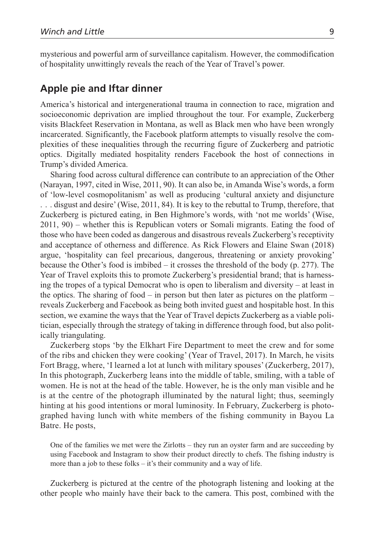mysterious and powerful arm of surveillance capitalism. However, the commodification of hospitality unwittingly reveals the reach of the Year of Travel's power.

## **Apple pie and Iftar dinner**

America's historical and intergenerational trauma in connection to race, migration and socioeconomic deprivation are implied throughout the tour. For example, Zuckerberg visits Blackfeet Reservation in Montana, as well as Black men who have been wrongly incarcerated. Significantly, the Facebook platform attempts to visually resolve the complexities of these inequalities through the recurring figure of Zuckerberg and patriotic optics. Digitally mediated hospitality renders Facebook the host of connections in Trump's divided America.

Sharing food across cultural difference can contribute to an appreciation of the Other (Narayan, 1997, cited in Wise, 2011, 90). It can also be, in Amanda Wise's words, a form of 'low-level cosmopolitanism' as well as producing 'cultural anxiety and disjuncture . . . disgust and desire' (Wise, 2011, 84). It is key to the rebuttal to Trump, therefore, that Zuckerberg is pictured eating, in Ben Highmore's words, with 'not me worlds' (Wise, 2011, 90) – whether this is Republican voters or Somali migrants. Eating the food of those who have been coded as dangerous and disastrous reveals Zuckerberg's receptivity and acceptance of otherness and difference. As Rick Flowers and Elaine Swan (2018) argue, 'hospitality can feel precarious, dangerous, threatening or anxiety provoking' because the Other's food is imbibed – it crosses the threshold of the body  $(p. 277)$ . The Year of Travel exploits this to promote Zuckerberg's presidential brand; that is harnessing the tropes of a typical Democrat who is open to liberalism and diversity – at least in the optics. The sharing of food – in person but then later as pictures on the platform – reveals Zuckerberg and Facebook as being both invited guest and hospitable host. In this section, we examine the ways that the Year of Travel depicts Zuckerberg as a viable politician, especially through the strategy of taking in difference through food, but also politically triangulating.

Zuckerberg stops 'by the Elkhart Fire Department to meet the crew and for some of the ribs and chicken they were cooking' (Year of Travel, 2017). In March, he visits Fort Bragg, where, 'I learned a lot at lunch with military spouses' (Zuckerberg, 2017), In this photograph, Zuckerberg leans into the middle of table, smiling, with a table of women. He is not at the head of the table. However, he is the only man visible and he is at the centre of the photograph illuminated by the natural light; thus, seemingly hinting at his good intentions or moral luminosity. In February, Zuckerberg is photographed having lunch with white members of the fishing community in Bayou La Batre. He posts,

One of the families we met were the Zirlotts – they run an oyster farm and are succeeding by using Facebook and Instagram to show their product directly to chefs. The fishing industry is more than a job to these folks – it's their community and a way of life.

Zuckerberg is pictured at the centre of the photograph listening and looking at the other people who mainly have their back to the camera. This post, combined with the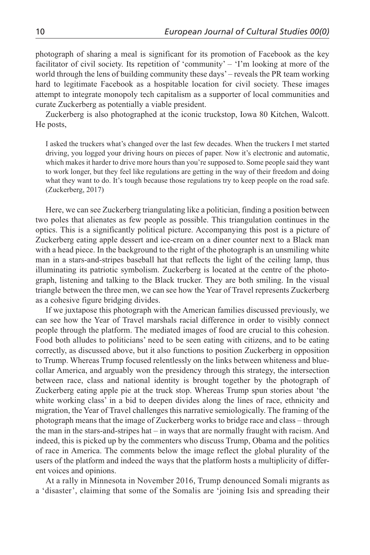photograph of sharing a meal is significant for its promotion of Facebook as the key facilitator of civil society. Its repetition of 'community' – 'I'm looking at more of the world through the lens of building community these days' – reveals the PR team working hard to legitimate Facebook as a hospitable location for civil society. These images attempt to integrate monopoly tech capitalism as a supporter of local communities and curate Zuckerberg as potentially a viable president.

Zuckerberg is also photographed at the iconic truckstop, Iowa 80 Kitchen, Walcott. He posts,

I asked the truckers what's changed over the last few decades. When the truckers I met started driving, you logged your driving hours on pieces of paper. Now it's electronic and automatic, which makes it harder to drive more hours than you're supposed to. Some people said they want to work longer, but they feel like regulations are getting in the way of their freedom and doing what they want to do. It's tough because those regulations try to keep people on the road safe. (Zuckerberg, 2017)

Here, we can see Zuckerberg triangulating like a politician, finding a position between two poles that alienates as few people as possible. This triangulation continues in the optics. This is a significantly political picture. Accompanying this post is a picture of Zuckerberg eating apple dessert and ice-cream on a diner counter next to a Black man with a head piece. In the background to the right of the photograph is an unsmiling white man in a stars-and-stripes baseball hat that reflects the light of the ceiling lamp, thus illuminating its patriotic symbolism. Zuckerberg is located at the centre of the photograph, listening and talking to the Black trucker. They are both smiling. In the visual triangle between the three men, we can see how the Year of Travel represents Zuckerberg as a cohesive figure bridging divides.

If we juxtapose this photograph with the American families discussed previously, we can see how the Year of Travel marshals racial difference in order to visibly connect people through the platform. The mediated images of food are crucial to this cohesion. Food both alludes to politicians' need to be seen eating with citizens, and to be eating correctly, as discussed above, but it also functions to position Zuckerberg in opposition to Trump. Whereas Trump focused relentlessly on the links between whiteness and bluecollar America, and arguably won the presidency through this strategy, the intersection between race, class and national identity is brought together by the photograph of Zuckerberg eating apple pie at the truck stop. Whereas Trump spun stories about 'the white working class' in a bid to deepen divides along the lines of race, ethnicity and migration, the Year of Travel challenges this narrative semiologically. The framing of the photograph means that the image of Zuckerberg works to bridge race and class – through the man in the stars-and-stripes hat – in ways that are normally fraught with racism. And indeed, this is picked up by the commenters who discuss Trump, Obama and the politics of race in America. The comments below the image reflect the global plurality of the users of the platform and indeed the ways that the platform hosts a multiplicity of different voices and opinions.

At a rally in Minnesota in November 2016, Trump denounced Somali migrants as a 'disaster', claiming that some of the Somalis are 'joining Isis and spreading their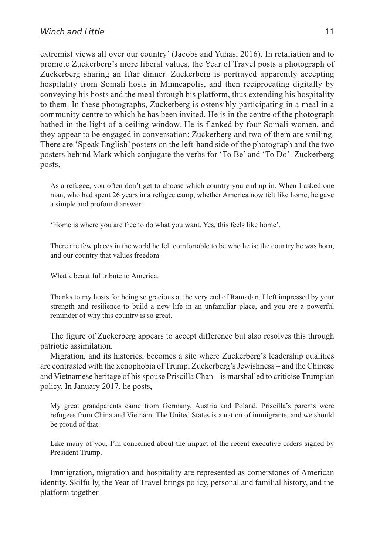extremist views all over our country' (Jacobs and Yuhas, 2016). In retaliation and to promote Zuckerberg's more liberal values, the Year of Travel posts a photograph of Zuckerberg sharing an Iftar dinner. Zuckerberg is portrayed apparently accepting hospitality from Somali hosts in Minneapolis, and then reciprocating digitally by conveying his hosts and the meal through his platform, thus extending his hospitality to them. In these photographs, Zuckerberg is ostensibly participating in a meal in a community centre to which he has been invited. He is in the centre of the photograph bathed in the light of a ceiling window. He is flanked by four Somali women, and they appear to be engaged in conversation; Zuckerberg and two of them are smiling. There are 'Speak English' posters on the left-hand side of the photograph and the two posters behind Mark which conjugate the verbs for 'To Be' and 'To Do'. Zuckerberg posts,

As a refugee, you often don't get to choose which country you end up in. When I asked one man, who had spent 26 years in a refugee camp, whether America now felt like home, he gave a simple and profound answer:

'Home is where you are free to do what you want. Yes, this feels like home'.

There are few places in the world he felt comfortable to be who he is: the country he was born, and our country that values freedom.

What a beautiful tribute to America.

Thanks to my hosts for being so gracious at the very end of Ramadan. I left impressed by your strength and resilience to build a new life in an unfamiliar place, and you are a powerful reminder of why this country is so great.

The figure of Zuckerberg appears to accept difference but also resolves this through patriotic assimilation.

Migration, and its histories, becomes a site where Zuckerberg's leadership qualities are contrasted with the xenophobia of Trump; Zuckerberg's Jewishness – and the Chinese and Vietnamese heritage of his spouse Priscilla Chan – is marshalled to criticise Trumpian policy. In January 2017, he posts,

My great grandparents came from Germany, Austria and Poland. Priscilla's parents were refugees from China and Vietnam. The United States is a nation of immigrants, and we should be proud of that.

Like many of you, I'm concerned about the impact of the recent executive orders signed by President Trump.

Immigration, migration and hospitality are represented as cornerstones of American identity. Skilfully, the Year of Travel brings policy, personal and familial history, and the platform together.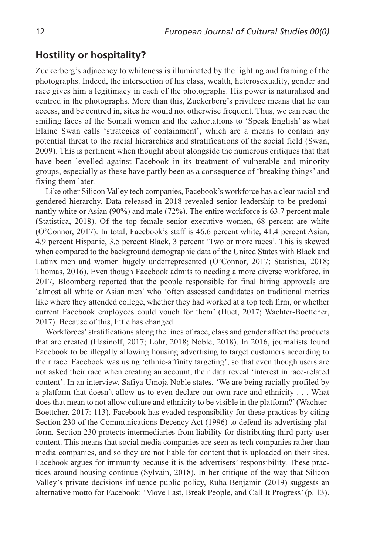## **Hostility or hospitality?**

Zuckerberg's adjacency to whiteness is illuminated by the lighting and framing of the photographs. Indeed, the intersection of his class, wealth, heterosexuality, gender and race gives him a legitimacy in each of the photographs. His power is naturalised and centred in the photographs. More than this, Zuckerberg's privilege means that he can access, and be centred in, sites he would not otherwise frequent. Thus, we can read the smiling faces of the Somali women and the exhortations to 'Speak English' as what Elaine Swan calls 'strategies of containment', which are a means to contain any potential threat to the racial hierarchies and stratifications of the social field (Swan, 2009). This is pertinent when thought about alongside the numerous critiques that that have been levelled against Facebook in its treatment of vulnerable and minority groups, especially as these have partly been as a consequence of 'breaking things' and fixing them later.

Like other Silicon Valley tech companies, Facebook's workforce has a clear racial and gendered hierarchy. Data released in 2018 revealed senior leadership to be predominantly white or Asian (90%) and male (72%). The entire workforce is 63.7 percent male (Statistica, 2018). Of the top female senior executive women, 68 percent are white (O'Connor, 2017). In total, Facebook's staff is 46.6 percent white, 41.4 percent Asian, 4.9 percent Hispanic, 3.5 percent Black, 3 percent 'Two or more races'. This is skewed when compared to the background demographic data of the United States with Black and Latinx men and women hugely underrepresented (O'Connor, 2017; Statistica, 2018; Thomas, 2016). Even though Facebook admits to needing a more diverse workforce, in 2017, Bloomberg reported that the people responsible for final hiring approvals are 'almost all white or Asian men' who 'often assessed candidates on traditional metrics like where they attended college, whether they had worked at a top tech firm, or whether current Facebook employees could vouch for them' (Huet, 2017; Wachter-Boettcher, 2017). Because of this, little has changed.

Workforces' stratifications along the lines of race, class and gender affect the products that are created (Hasinoff, 2017; Lohr, 2018; Noble, 2018). In 2016, journalists found Facebook to be illegally allowing housing advertising to target customers according to their race. Facebook was using 'ethnic-affinity targeting', so that even though users are not asked their race when creating an account, their data reveal 'interest in race-related content'. In an interview, Safiya Umoja Noble states, 'We are being racially profiled by a platform that doesn't allow us to even declare our own race and ethnicity . . . What does that mean to not allow culture and ethnicity to be visible in the platform?' (Wachter-Boettcher, 2017: 113). Facebook has evaded responsibility for these practices by citing Section 230 of the Communications Decency Act (1996) to defend its advertising platform. Section 230 protects intermediaries from liability for distributing third-party user content. This means that social media companies are seen as tech companies rather than media companies, and so they are not liable for content that is uploaded on their sites. Facebook argues for immunity because it is the advertisers' responsibility. These practices around housing continue (Sylvain, 2018). In her critique of the way that Silicon Valley's private decisions influence public policy, Ruha Benjamin (2019) suggests an alternative motto for Facebook: 'Move Fast, Break People, and Call It Progress' (p. 13).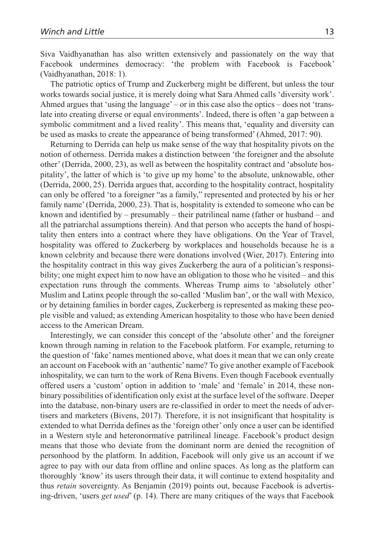Siva Vaidhyanathan has also written extensively and passionately on the way that Facebook undermines democracy: 'the problem with Facebook is Facebook' (Vaidhyanathan, 2018: 1).

The patriotic optics of Trump and Zuckerberg might be different, but unless the tour works towards social justice, it is merely doing what Sara Ahmed calls 'diversity work'. Ahmed argues that 'using the language' – or in this case also the optics – does not 'translate into creating diverse or equal environments'. Indeed, there is often 'a gap between a symbolic commitment and a lived reality'. This means that, 'equality and diversity can be used as masks to create the appearance of being transformed' (Ahmed, 2017: 90).

Returning to Derrida can help us make sense of the way that hospitality pivots on the notion of otherness. Derrida makes a distinction between 'the foreigner and the absolute other' (Derrida, 2000, 23), as well as between the hospitality contract and 'absolute hospitality', the latter of which is 'to give up my home' to the absolute, unknowable, other (Derrida, 2000, 25). Derrida argues that, according to the hospitality contract, hospitality can only be offered 'to a foreigner "as a family," represented and protected by his or her family name' (Derrida, 2000, 23). That is, hospitality is extended to someone who can be known and identified by – presumably – their patrilineal name (father or husband – and all the patriarchal assumptions therein). And that person who accepts the hand of hospitality then enters into a contract where they have obligations. On the Year of Travel, hospitality was offered to Zuckerberg by workplaces and households because he is a known celebrity and because there were donations involved (Wier, 2017). Entering into the hospitality contract in this way gives Zuckerberg the aura of a politician's responsibility; one might expect him to now have an obligation to those who he visited – and this expectation runs through the comments. Whereas Trump aims to 'absolutely other' Muslim and Latinx people through the so-called 'Muslim ban', or the wall with Mexico, or by detaining families in border cages, Zuckerberg is represented as making these people visible and valued; as extending American hospitality to those who have been denied access to the American Dream.

Interestingly, we can consider this concept of the 'absolute other' and the foreigner known through naming in relation to the Facebook platform. For example, returning to the question of 'fake' names mentioned above, what does it mean that we can only create an account on Facebook with an 'authentic' name? To give another example of Facebook inhospitality, we can turn to the work of Rena Bivens. Even though Facebook eventually offered users a 'custom' option in addition to 'male' and 'female' in 2014, these nonbinary possibilities of identification only exist at the surface level of the software. Deeper into the database, non-binary users are re-classified in order to meet the needs of advertisers and marketers (Bivens, 2017). Therefore, it is not insignificant that hospitality is extended to what Derrida defines as the 'foreign other' only once a user can be identified in a Western style and heteronormative patrilineal lineage. Facebook's product design means that those who deviate from the dominant norm are denied the recognition of personhood by the platform. In addition, Facebook will only give us an account if we agree to pay with our data from offline and online spaces. As long as the platform can thoroughly 'know' its users through their data, it will continue to extend hospitality and thus *retain* sovereignty. As Benjamin (2019) points out, because Facebook is advertising-driven, 'users *get used*' (p. 14). There are many critiques of the ways that Facebook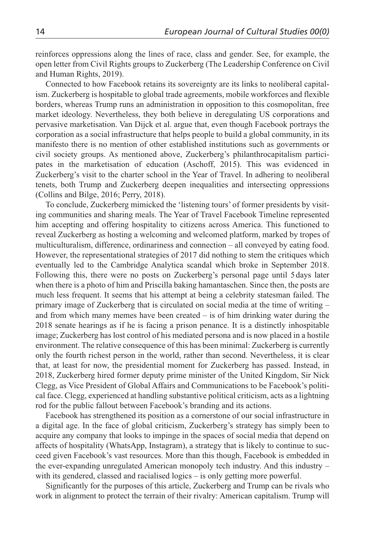reinforces oppressions along the lines of race, class and gender. See, for example, the open letter from Civil Rights groups to Zuckerberg (The Leadership Conference on Civil and Human Rights, 2019).

Connected to how Facebook retains its sovereignty are its links to neoliberal capitalism. Zuckerberg is hospitable to global trade agreements, mobile workforces and flexible borders, whereas Trump runs an administration in opposition to this cosmopolitan, free market ideology. Nevertheless, they both believe in deregulating US corporations and pervasive marketisation. Van Dijck et al. argue that, even though Facebook portrays the corporation as a social infrastructure that helps people to build a global community, in its manifesto there is no mention of other established institutions such as governments or civil society groups. As mentioned above, Zuckerberg's philanthrocapitalism participates in the marketisation of education (Aschoff, 2015). This was evidenced in Zuckerberg's visit to the charter school in the Year of Travel. In adhering to neoliberal tenets, both Trump and Zuckerberg deepen inequalities and intersecting oppressions (Collins and Bilge, 2016; Perry, 2018).

To conclude, Zuckerberg mimicked the 'listening tours' of former presidents by visiting communities and sharing meals. The Year of Travel Facebook Timeline represented him accepting and offering hospitality to citizens across America. This functioned to reveal Zuckerberg as hosting a welcoming and welcomed platform, marked by tropes of multiculturalism, difference, ordinariness and connection – all conveyed by eating food. However, the representational strategies of 2017 did nothing to stem the critiques which eventually led to the Cambridge Analytica scandal which broke in September 2018. Following this, there were no posts on Zuckerberg's personal page until 5 days later when there is a photo of him and Priscilla baking hamantaschen. Since then, the posts are much less frequent. It seems that his attempt at being a celebrity statesman failed. The primary image of Zuckerberg that is circulated on social media at the time of writing – and from which many memes have been created – is of him drinking water during the 2018 senate hearings as if he is facing a prison penance. It is a distinctly inhospitable image; Zuckerberg has lost control of his mediated persona and is now placed in a hostile environment. The relative consequence of this has been minimal: Zuckerberg is currently only the fourth richest person in the world, rather than second. Nevertheless, it is clear that, at least for now, the presidential moment for Zuckerberg has passed. Instead, in 2018, Zuckerberg hired former deputy prime minister of the United Kingdom, Sir Nick Clegg, as Vice President of Global Affairs and Communications to be Facebook's political face. Clegg, experienced at handling substantive political criticism, acts as a lightning rod for the public fallout between Facebook's branding and its actions.

Facebook has strengthened its position as a cornerstone of our social infrastructure in a digital age. In the face of global criticism, Zuckerberg's strategy has simply been to acquire any company that looks to impinge in the spaces of social media that depend on affects of hospitality (WhatsApp, Instagram), a strategy that is likely to continue to succeed given Facebook's vast resources. More than this though, Facebook is embedded in the ever-expanding unregulated American monopoly tech industry. And this industry – with its gendered, classed and racialised logics – is only getting more powerful.

Significantly for the purposes of this article, Zuckerberg and Trump can be rivals who work in alignment to protect the terrain of their rivalry: American capitalism. Trump will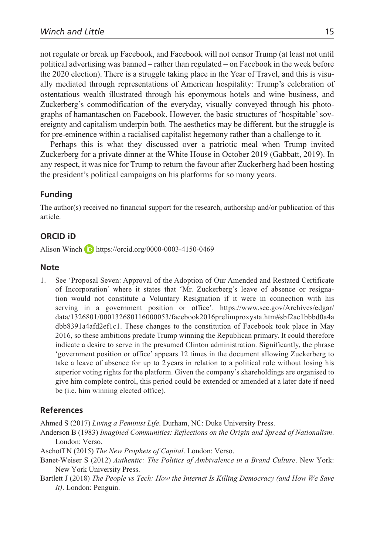not regulate or break up Facebook, and Facebook will not censor Trump (at least not until political advertising was banned – rather than regulated – on Facebook in the week before the 2020 election). There is a struggle taking place in the Year of Travel, and this is visually mediated through representations of American hospitality: Trump's celebration of ostentatious wealth illustrated through his eponymous hotels and wine business, and Zuckerberg's commodification of the everyday, visually conveyed through his photographs of hamantaschen on Facebook. However, the basic structures of 'hospitable' sovereignty and capitalism underpin both. The aesthetics may be different, but the struggle is for pre-eminence within a racialised capitalist hegemony rather than a challenge to it.

Perhaps this is what they discussed over a patriotic meal when Trump invited Zuckerberg for a private dinner at the White House in October 2019 (Gabbatt, 2019). In any respect, it was nice for Trump to return the favour after Zuckerberg had been hosting the president's political campaigns on his platforms for so many years.

### **Funding**

The author(s) received no financial support for the research, authorship and/or publication of this article.

### **ORCID iD**

Alison Winch <https://orcid.org/0000-0003-4150-0469>

#### **Note**

1. See 'Proposal Seven: Approval of the Adoption of Our Amended and Restated Certificate of Incorporation' where it states that 'Mr. Zuckerberg's leave of absence or resignation would not constitute a Voluntary Resignation if it were in connection with his serving in a government position or office'. [https://www.sec.gov/Archives/edgar/](https://www.sec.gov/Archives/edgar/data/1326801/000132680116000053/facebook2016prelimproxysta.htm#sbf2ac1bbbd0a4adbb8391a4afd2ef1c1) [data/1326801/000132680116000053/facebook2016prelimproxysta.htm#sbf2ac1bbbd0a4a](https://www.sec.gov/Archives/edgar/data/1326801/000132680116000053/facebook2016prelimproxysta.htm#sbf2ac1bbbd0a4adbb8391a4afd2ef1c1) [dbb8391a4afd2ef1c1.](https://www.sec.gov/Archives/edgar/data/1326801/000132680116000053/facebook2016prelimproxysta.htm#sbf2ac1bbbd0a4adbb8391a4afd2ef1c1) These changes to the constitution of Facebook took place in May 2016, so these ambitions predate Trump winning the Republican primary. It could therefore indicate a desire to serve in the presumed Clinton administration. Significantly, the phrase 'government position or office' appears 12 times in the document allowing Zuckerberg to take a leave of absence for up to 2 years in relation to a political role without losing his superior voting rights for the platform. Given the company's shareholdings are organised to give him complete control, this period could be extended or amended at a later date if need be (i.e. him winning elected office).

### **References**

Ahmed S (2017) *Living a Feminist Life*. Durham, NC: Duke University Press.

- Anderson B (1983) *Imagined Communities: Reflections on the Origin and Spread of Nationalism*. London: Verso.
- Aschoff N (2015) *The New Prophets of Capital*. London: Verso.
- Banet-Weiser S (2012) *Authentic: The Politics of Ambivalence in a Brand Culture*. New York: New York University Press.
- Bartlett J (2018) *The People vs Tech: How the Internet Is Killing Democracy (and How We Save It)*. London: Penguin.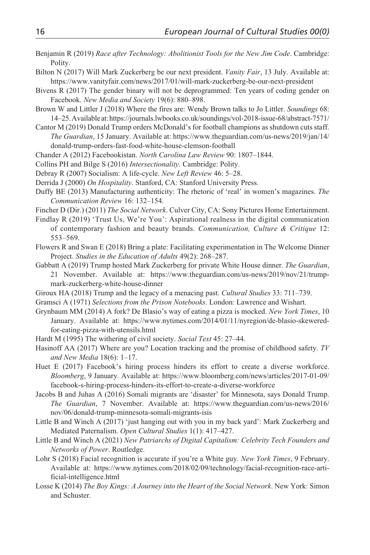- Benjamin R (2019) *Race after Technology: Abolitionist Tools for the New Jim Code*. Cambridge: Polity.
- Bilton N (2017) Will Mark Zuckerberg be our next president. *Vanity Fair*, 13 July. Available at: <https://www.vanityfair.com/news/2017/01/will-mark-zuckerberg-be-our-next-president>
- Bivens R (2017) The gender binary will not be deprogrammed: Ten years of coding gender on Facebook. *New Media and Society* 19(6): 880–898.
- Brown W and Littler J (2018) Where the fires are: Wendy Brown talks to Jo Littler. *Soundings* 68: 14–25. Available at:<https://journals.lwbooks.co.uk/soundings/vol-2018-issue-68/abstract-7571/>
- Cantor M (2019) Donald Trump orders McDonald's for football champions as shutdown cuts staff. *The Guardian*, 15 January. Available at: [https://www.theguardian.com/us-news/2019/jan/14/](https://www.theguardian.com/us-news/2019/jan/14/donald-trump-orders-fast-food-white-house-clemson-football) [donald-trump-orders-fast-food-white-house-clemson-football](https://www.theguardian.com/us-news/2019/jan/14/donald-trump-orders-fast-food-white-house-clemson-football)
- Chander A (2012) Facebookistan. *North Carolina Law Review* 90: 1807–1844.
- Collins PH and Bilge S (2016) *Intersectionality*. Cambridge: Polity.
- Debray R (2007) Socialism: A life-cycle. *New Left Review* 46: 5–28.
- Derrida J (2000) *On Hospitality*. Stanford, CA: Stanford University Press.
- Duffy BE (2013) Manufacturing authenticity: The rhetoric of 'real' in women's magazines. *The Communication Review* 16: 132–154.
- Fincher D (Dir.) (2011) *The Social Network*. Culver City, CA: Sony Pictures Home Entertainment.
- Findlay R (2019) 'Trust Us, We're You': Aspirational realness in the digital communication of contemporary fashion and beauty brands. *Communication, Culture & Critique* 12: 553–569.
- Flowers R and Swan E (2018) Bring a plate: Facilitating experimentation in The Welcome Dinner Project. *Studies in the Education of Adults* 49(2): 268–287.
- Gabbatt A (2019) Trump hosted Mark Zuckerberg for private White House dinner. *The Guardian*, 21 November. Available at: [https://www.theguardian.com/us-news/2019/nov/21/trump](https://www.theguardian.com/us-news/2019/nov/21/trump-mark-zuckerberg-white-house-dinner)[mark-zuckerberg-white-house-dinner](https://www.theguardian.com/us-news/2019/nov/21/trump-mark-zuckerberg-white-house-dinner)
- Giroux HA (2018) Trump and the legacy of a menacing past. *Cultural Studies* 33: 711–739.
- Gramsci A (1971) *Selections from the Prison Notebooks*. London: Lawrence and Wishart.
- Grynbaum MM (2014) A fork? De Blasio's way of eating a pizza is mocked. *New York Times*, 10 January. Available at: [https://www.nytimes.com/2014/01/11/nyregion/de-blasio-skewered](https://www.nytimes.com/2014/01/11/nyregion/de-blasio-skewered-for-eating-pizza-with-utensils.html)[for-eating-pizza-with-utensils.html](https://www.nytimes.com/2014/01/11/nyregion/de-blasio-skewered-for-eating-pizza-with-utensils.html)
- Hardt M (1995) The withering of civil society. *Social Text* 45: 27–44.
- Hasinoff AA (2017) Where are you? Location tracking and the promise of childhood safety. *TV and New Media* 18(6): 1–17.
- Huet E (2017) Facebook's hiring process hinders its effort to create a diverse workforce. *Bloomberg*, 9 January. Available at: [https://www.bloomberg.com/news/articles/2017-01-09/](https://www.bloomberg.com/news/articles/2017-01-09/facebook-s-hiring-process-hinders-its-effort-to-create-a-diverse-workforce) [facebook-s-hiring-process-hinders-its-effort-to-create-a-diverse-workforce](https://www.bloomberg.com/news/articles/2017-01-09/facebook-s-hiring-process-hinders-its-effort-to-create-a-diverse-workforce)
- Jacobs B and Juhas A (2016) Somali migrants are 'disaster' for Minnesota, says Donald Trump. *The Guardian*, 7 November. Available at: [https://www.theguardian.com/us-news/2016/](https://www.theguardian.com/us-news/2016/nov/06/donald-trump-minnesota-somali-migrants-isis) [nov/06/donald-trump-minnesota-somali-migrants-isis](https://www.theguardian.com/us-news/2016/nov/06/donald-trump-minnesota-somali-migrants-isis)
- Little B and Winch A (2017) 'just hanging out with you in my back yard': Mark Zuckerberg and Mediated Paternalism. *Open Cultural Studies* 1(1): 417–427.
- Little B and Winch A (2021) *New Patriarchs of Digital Capitalism: Celebrity Tech Founders and Networks of Power*. Routledge.
- Lohr S (2018) Facial recognition is accurate if you're a White guy. *New York Times*, 9 February. Available at: [https://www.nytimes.com/2018/02/09/technology/facial-recognition-race-arti](https://www.nytimes.com/2018/02/09/technology/facial-recognition-race-artificial-intelligence.html)[ficial-intelligence.html](https://www.nytimes.com/2018/02/09/technology/facial-recognition-race-artificial-intelligence.html)
- Losse K (2014) *The Boy Kings: A Journey into the Heart of the Social Network*. New York: Simon and Schuster.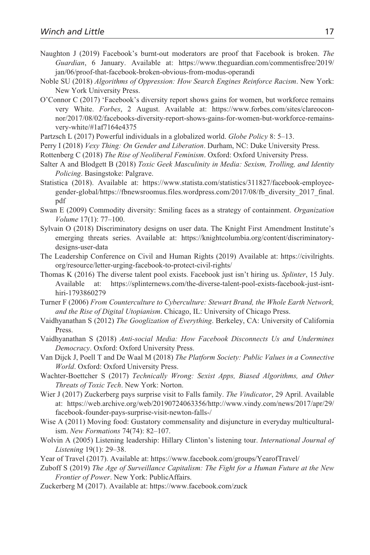- Naughton J (2019) Facebook's burnt-out moderators are proof that Facebook is broken. *The Guardian*, 6 January. Available at: [https://www.theguardian.com/commentisfree/2019/](https://www.theguardian.com/commentisfree/2019/jan/06/proof-that-facebook-broken-obvious-from-modus-operandi) [jan/06/proof-that-facebook-broken-obvious-from-modus-operandi](https://www.theguardian.com/commentisfree/2019/jan/06/proof-that-facebook-broken-obvious-from-modus-operandi)
- Noble SU (2018) *Algorithms of Oppression: How Search Engines Reinforce Racism*. New York: New York University Press.
- O'Connor C (2017) 'Facebook's diversity report shows gains for women, but workforce remains very White. *Forbes*, 2 August. Available at: [https://www.forbes.com/sites/clareocon](https://www.forbes.com/sites/clareoconnor/2017/08/02/facebooks-diversity-report-shows-gains-for-women-but-workforce-remains-very-white/#1af7164e4375)[nor/2017/08/02/facebooks-diversity-report-shows-gains-for-women-but-workforce-remains](https://www.forbes.com/sites/clareoconnor/2017/08/02/facebooks-diversity-report-shows-gains-for-women-but-workforce-remains-very-white/#1af7164e4375)[very-white/#1af7164e4375](https://www.forbes.com/sites/clareoconnor/2017/08/02/facebooks-diversity-report-shows-gains-for-women-but-workforce-remains-very-white/#1af7164e4375)
- Partzsch L (2017) Powerful individuals in a globalized world. *Globe Policy* 8: 5–13.
- Perry I (2018) *Vexy Thing: On Gender and Liberation*. Durham, NC: Duke University Press.
- Rottenberg C (2018) *The Rise of Neoliberal Feminism*. Oxford: Oxford University Press.
- Salter A and Blodgett B (2018) *Toxic Geek Masculinity in Media: Sexism, Trolling, and Identity Policing*. Basingstoke: Palgrave.
- Statistica (2018). Available at: [https://www.statista.com/statistics/311827/facebook-employee](https://www.statista.com/statistics/311827/facebook-employee-gender-global/https://fbnewsroomus.files.wordpress.com/2017/08/fb_diversity_2017_final.pdf)[gender-global/https://fbnewsroomus.files.wordpress.com/2017/08/fb\\_diversity\\_2017\\_final.](https://www.statista.com/statistics/311827/facebook-employee-gender-global/https://fbnewsroomus.files.wordpress.com/2017/08/fb_diversity_2017_final.pdf) [pdf](https://www.statista.com/statistics/311827/facebook-employee-gender-global/https://fbnewsroomus.files.wordpress.com/2017/08/fb_diversity_2017_final.pdf)
- Swan E (2009) Commodity diversity: Smiling faces as a strategy of containment. *Organization Volume* 17(1): 77–100.
- Sylvain O (2018) Discriminatory designs on user data. The Knight First Amendment Institute's emerging threats series. Available at: [https://knightcolumbia.org/content/discriminatory](https://knightcolumbia.org/content/discriminatory-designs-user-data)[designs-user-data](https://knightcolumbia.org/content/discriminatory-designs-user-data)
- The Leadership Conference on Civil and Human Rights (2019) Available at: [https://civilrights.](https://civilrights.org/resource/letter-urging-facebook-to-protect-civil-rights/) [org/resource/letter-urging-facebook-to-protect-civil-rights/](https://civilrights.org/resource/letter-urging-facebook-to-protect-civil-rights/)
- Thomas K (2016) The diverse talent pool exists. Facebook just isn't hiring us. *Splinter*, 15 July. Available at: [https://splinternews.com/the-diverse-talent-pool-exists-facebook-just-isnt](https://splinternews.com/the-diverse-talent-pool-exists-facebook-just-isnt-hiri-1793860279)[hiri-1793860279](https://splinternews.com/the-diverse-talent-pool-exists-facebook-just-isnt-hiri-1793860279)
- Turner F (2006) *From Counterculture to Cyberculture: Stewart Brand, the Whole Earth Network, and the Rise of Digital Utopianism*. Chicago, IL: University of Chicago Press.
- Vaidhyanathan S (2012) *The Googlization of Everything*. Berkeley, CA: University of California Press.
- Vaidhyanathan S (2018) *Anti-social Media: How Facebook Disconnects Us and Undermines Democracy*. Oxford: Oxford University Press.
- Van Dijck J, Poell T and De Waal M (2018) *The Platform Society: Public Values in a Connective World*. Oxford: Oxford University Press.
- Wachter-Boettcher S (2017) *Technically Wrong: Sexist Apps, Biased Algorithms, and Other Threats of Toxic Tech*. New York: Norton.
- Wier J (2017) Zuckerberg pays surprise visit to Falls family. *The Vindicator*, 29 April. Available at: [https://web.archive.org/web/20190724063356/http://www.vindy.com/news/2017/apr/29/](https://web.archive.org/web/20190724063356/http://www.vindy.com/news/2017/apr/29/facebook-founder-pays-surprise-visit-newton-falls-/) [facebook-founder-pays-surprise-visit-newton-falls-/](https://web.archive.org/web/20190724063356/http://www.vindy.com/news/2017/apr/29/facebook-founder-pays-surprise-visit-newton-falls-/)
- Wise A (2011) Moving food: Gustatory commensality and disjuncture in everyday multiculturalism. *New Formations* 74(74): 82–107.
- Wolvin A (2005) Listening leadership: Hillary Clinton's listening tour. *International Journal of Listening* 19(1): 29–38.
- Year of Travel (2017). Available at:<https://www.facebook.com/groups/YearofTravel/>
- Zuboff S (2019) *The Age of Surveillance Capitalism: The Fight for a Human Future at the New Frontier of Power*. New York: PublicAffairs.
- Zuckerberg M (2017). Available at:<https://www.facebook.com/zuck>